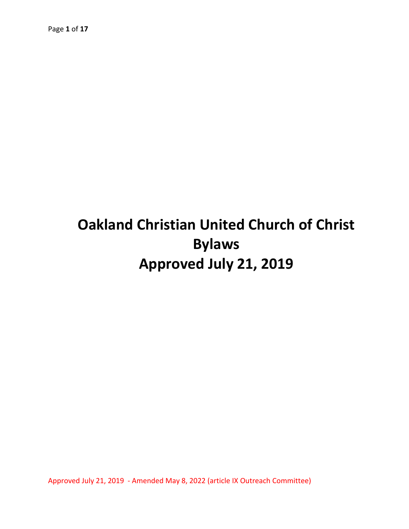# **Oakland Christian United Church of Christ Bylaws Approved July 21, 2019**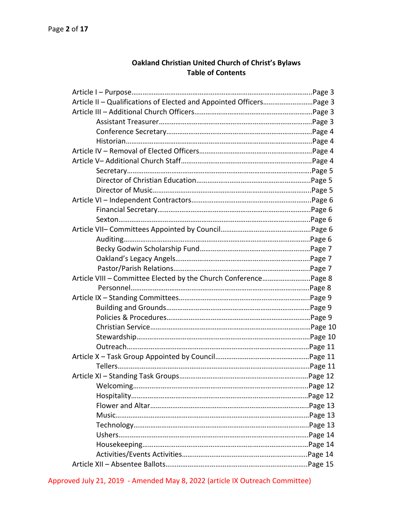# **Oakland Christian United Church of Christ's Bylaws Table of Contents**

| Article II - Qualifications of Elected and Appointed OfficersPage 3 |  |
|---------------------------------------------------------------------|--|
|                                                                     |  |
|                                                                     |  |
|                                                                     |  |
|                                                                     |  |
|                                                                     |  |
|                                                                     |  |
|                                                                     |  |
|                                                                     |  |
|                                                                     |  |
|                                                                     |  |
|                                                                     |  |
|                                                                     |  |
|                                                                     |  |
|                                                                     |  |
|                                                                     |  |
|                                                                     |  |
|                                                                     |  |
|                                                                     |  |
|                                                                     |  |
|                                                                     |  |
|                                                                     |  |
|                                                                     |  |
|                                                                     |  |
|                                                                     |  |
|                                                                     |  |
|                                                                     |  |
|                                                                     |  |
|                                                                     |  |
|                                                                     |  |
|                                                                     |  |
|                                                                     |  |
|                                                                     |  |
|                                                                     |  |
|                                                                     |  |
|                                                                     |  |
|                                                                     |  |
|                                                                     |  |
|                                                                     |  |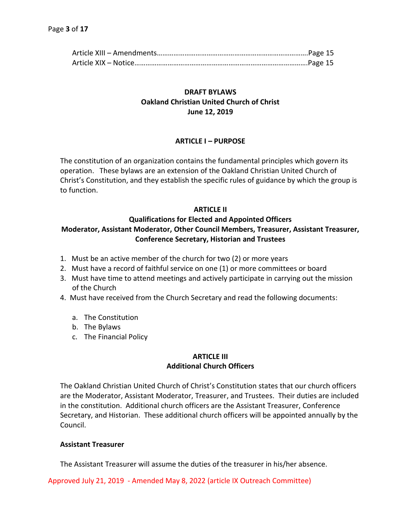# **DRAFT BYLAWS Oakland Christian United Church of Christ June 12, 2019**

## **ARTICLE I – PURPOSE**

The constitution of an organization contains the fundamental principles which govern its operation. These bylaws are an extension of the Oakland Christian United Church of Christ's Constitution, and they establish the specific rules of guidance by which the group is to function.

### **ARTICLE II**

## **Qualifications for Elected and Appointed Officers Moderator, Assistant Moderator, Other Council Members, Treasurer, Assistant Treasurer, Conference Secretary, Historian and Trustees**

- 1. Must be an active member of the church for two (2) or more years
- 2. Must have a record of faithful service on one (1) or more committees or board
- 3. Must have time to attend meetings and actively participate in carrying out the mission of the Church
- 4. Must have received from the Church Secretary and read the following documents:
	- a. The Constitution
	- b. The Bylaws
	- c. The Financial Policy

## **ARTICLE III Additional Church Officers**

The Oakland Christian United Church of Christ's Constitution states that our church officers are the Moderator, Assistant Moderator, Treasurer, and Trustees. Their duties are included in the constitution. Additional church officers are the Assistant Treasurer, Conference Secretary, and Historian. These additional church officers will be appointed annually by the Council.

### **Assistant Treasurer**

The Assistant Treasurer will assume the duties of the treasurer in his/her absence.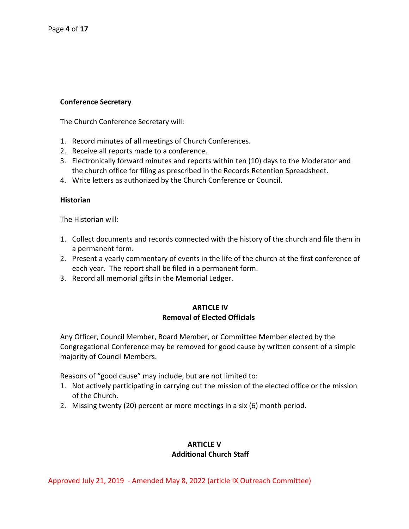## **Conference Secretary**

The Church Conference Secretary will:

- 1. Record minutes of all meetings of Church Conferences.
- 2. Receive all reports made to a conference.
- 3. Electronically forward minutes and reports within ten (10) days to the Moderator and the church office for filing as prescribed in the Records Retention Spreadsheet.
- 4. Write letters as authorized by the Church Conference or Council.

#### **Historian**

The Historian will:

- 1. Collect documents and records connected with the history of the church and file them in a permanent form.
- 2. Present a yearly commentary of events in the life of the church at the first conference of each year. The report shall be filed in a permanent form.
- 3. Record all memorial gifts in the Memorial Ledger.

# **ARTICLE IV Removal of Elected Officials**

Any Officer, Council Member, Board Member, or Committee Member elected by the Congregational Conference may be removed for good cause by written consent of a simple majority of Council Members.

Reasons of "good cause" may include, but are not limited to:

- 1. Not actively participating in carrying out the mission of the elected office or the mission of the Church.
- 2. Missing twenty (20) percent or more meetings in a six (6) month period.

# **ARTICLE V Additional Church Staff**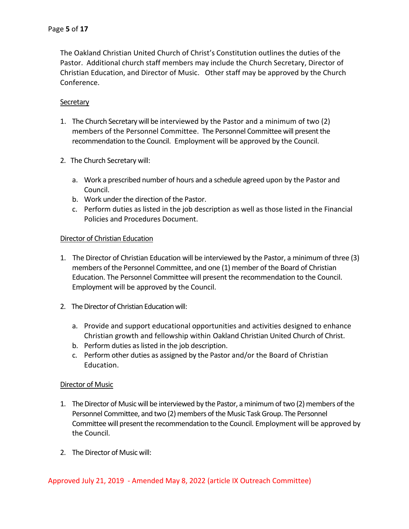The Oakland Christian United Church of Christ's Constitution outlines the duties of the Pastor. Additional church staff members may include the Church Secretary, Director of Christian Education, and Director of Music. Other staff may be approved by the Church Conference.

## **Secretary**

- 1. The Church Secretary will be interviewed by the Pastor and a minimum of two (2) members of the Personnel Committee. The Personnel Committee will present the recommendation to the Council. Employment will be approved by the Council.
- 2. The Church Secretary will:
	- a. Work a prescribed number of hours and a schedule agreed upon by the Pastor and Council.
	- b. Work under the direction of the Pastor.
	- c. Perform duties as listed in the job description as well as those listed in the Financial Policies and Procedures Document.

### Director of Christian Education

- 1. The Director of Christian Education will be interviewed by the Pastor, a minimum of three (3) members of the Personnel Committee, and one (1) member of the Board of Christian Education. The Personnel Committee will present the recommendation to the Council. Employment will be approved by the Council.
- 2. The Director of Christian Education will:
	- a. Provide and support educational opportunities and activities designed to enhance Christian growth and fellowship within Oakland Christian United Church of Christ.
	- b. Perform duties as listed in the job description.
	- c. Perform other duties as assigned by the Pastor and/or the Board of Christian Education.

### Director of Music

- 1. The Director of Music will be interviewed by the Pastor, a minimum of two (2) members of the Personnel Committee, and two (2) members of the Music Task Group. The Personnel Committee will present the recommendation to the Council. Employment will be approved by the Council.
- 2. The Director of Music will: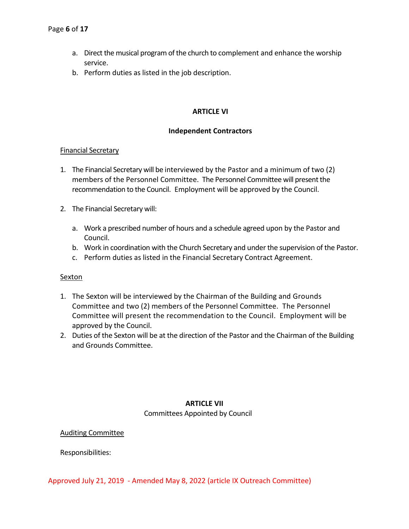- a. Direct the musical program of the church to complement and enhance the worship service.
- b. Perform duties as listed in the job description.

## **ARTICLE VI**

## **Independent Contractors**

### Financial Secretary

- 1. The Financial Secretary will be interviewed by the Pastor and a minimum of two (2) members of the Personnel Committee. The Personnel Committee will present the recommendation to the Council. Employment will be approved by the Council.
- 2. The Financial Secretary will:
	- a. Work a prescribed number of hours and a schedule agreed upon by the Pastor and Council.
	- b. Work in coordination with the Church Secretary and under the supervision of the Pastor.
	- c. Perform duties as listed in the Financial Secretary Contract Agreement.

### **Sexton**

- 1. The Sexton will be interviewed by the Chairman of the Building and Grounds Committee and two (2) members of the Personnel Committee. The Personnel Committee will present the recommendation to the Council. Employment will be approved by the Council.
- 2. Duties of the Sexton will be at the direction of the Pastor and the Chairman of the Building and Grounds Committee.

## **ARTICLE VII** Committees Appointed by Council

### Auditing Committee

### Responsibilities: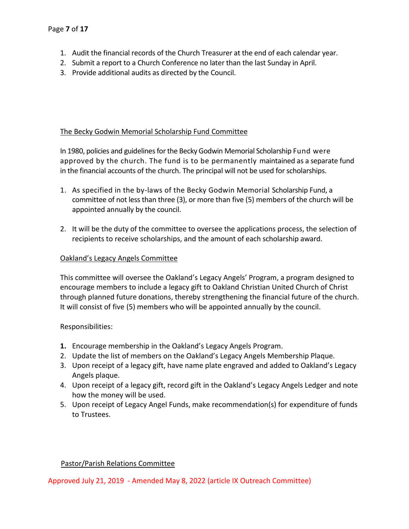- 1. Audit the financial records of the Church Treasurer at the end of each calendar year.
- 2. Submit a report to a Church Conference no later than the last Sunday in April.
- 3. Provide additional audits as directed by the Council.

# The Becky Godwin Memorial Scholarship Fund Committee

In 1980, policies and guidelines for the Becky Godwin Memorial Scholarship Fund were approved by the church. The fund is to be permanently maintained as a separate fund in the financial accounts of the church. The principal will not be used for scholarships.

- 1. As specified in the by-laws of the Becky Godwin Memorial Scholarship Fund, a committee of not less than three (3), or more than five (5) members of the church will be appointed annually by the council.
- 2. It will be the duty of the committee to oversee the applications process, the selection of recipients to receive scholarships, and the amount of each scholarship award.

## Oakland's Legacy Angels Committee

This committee will oversee the Oakland's Legacy Angels' Program, a program designed to encourage members to include a legacy gift to Oakland Christian United Church of Christ through planned future donations, thereby strengthening the financial future of the church. It will consist of five (5) members who will be appointed annually by the council.

### Responsibilities:

- **1.** Encourage membership in the Oakland's Legacy Angels Program.
- 2. Update the list of members on the Oakland's Legacy Angels Membership Plaque.
- 3. Upon receipt of a legacy gift, have name plate engraved and added to Oakland's Legacy Angels plaque.
- 4. Upon receipt of a legacy gift, record gift in the Oakland's Legacy Angels Ledger and note how the money will be used.
- 5. Upon receipt of Legacy Angel Funds, make recommendation(s) for expenditure of funds to Trustees.

# Pastor/Parish Relations Committee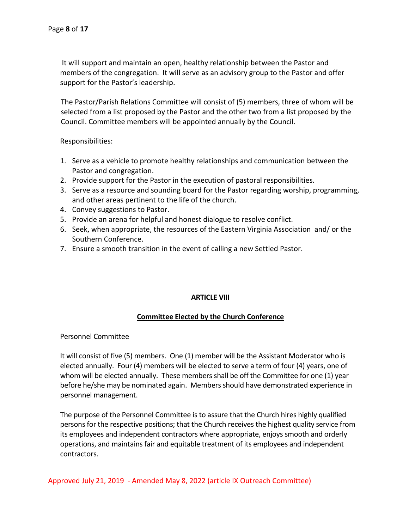It will support and maintain an open, healthy relationship between the Pastor and members of the congregation. It will serve as an advisory group to the Pastor and offer support for the Pastor's leadership.

 The Pastor/Parish Relations Committee will consist of (5) members, three of whom will be selected from a list proposed by the Pastor and the other two from a list proposed by the Council. Committee members will be appointed annually by the Council.

Responsibilities:

- 1. Serve as a vehicle to promote healthy relationships and communication between the Pastor and congregation.
- 2. Provide support for the Pastor in the execution of pastoral responsibilities.
- 3. Serve as a resource and sounding board for the Pastor regarding worship, programming, and other areas pertinent to the life of the church.
- 4. Convey suggestions to Pastor.
- 5. Provide an arena for helpful and honest dialogue to resolve conflict.
- 6. Seek, when appropriate, the resources of the Eastern Virginia Association and/ or the Southern Conference.
- 7. Ensure a smooth transition in the event of calling a new Settled Pastor.

### **ARTICLE VIII**

# **Committee Elected by the Church Conference**

### Personnel Committee

 It will consist of five (5) members. One (1) member will be the Assistant Moderator who is elected annually. Four (4) members will be elected to serve a term of four (4) years, one of whom will be elected annually. These members shall be off the Committee for one (1) year before he/she may be nominated again. Members should have demonstrated experience in personnel management.

The purpose of the Personnel Committee is to assure that the Church hires highly qualified persons for the respective positions; that the Church receives the highest quality service from its employees and independent contractors where appropriate, enjoys smooth and orderly operations, and maintains fair and equitable treatment of its employees and independent contractors.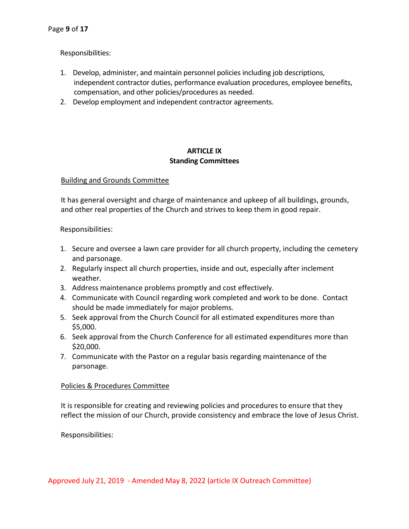Responsibilities:

- 1. Develop, administer, and maintain personnel policies including job descriptions, independent contractor duties, performance evaluation procedures, employee benefits, compensation, and other policies/procedures as needed.
- 2. Develop employment and independent contractor agreements.

## **ARTICLE IX Standing Committees**

## Building and Grounds Committee

 It has general oversight and charge of maintenance and upkeep of all buildings, grounds, and other real properties of the Church and strives to keep them in good repair.

Responsibilities:

- 1. Secure and oversee a lawn care provider for all church property, including the cemetery and parsonage.
- 2. Regularly inspect all church properties, inside and out, especially after inclement weather.
- 3. Address maintenance problems promptly and cost effectively.
- 4. Communicate with Council regarding work completed and work to be done. Contact should be made immediately for major problems.
- 5. Seek approval from the Church Council for all estimated expenditures more than \$5,000.
- 6. Seek approval from the Church Conference for all estimated expenditures more than \$20,000.
- 7. Communicate with the Pastor on a regular basis regarding maintenance of the parsonage.

### Policies & Procedures Committee

 It is responsible for creating and reviewing policies and procedures to ensure that they reflect the mission of our Church, provide consistency and embrace the love of Jesus Christ.

Responsibilities: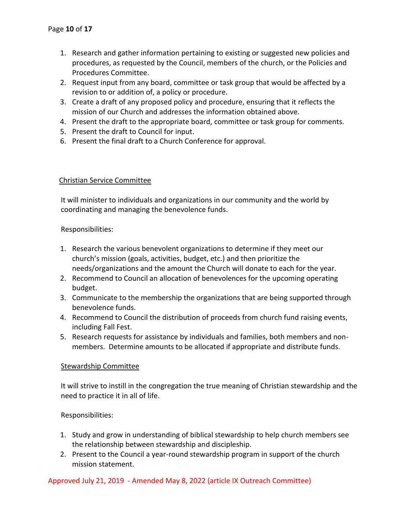- 1. Research and gather information pertaining to existing or suggested new policies and procedures, as requested by the Council, members of the church, or the Policies and Procedures Committee.
- 2. Request input from any board, committee or task group that would be affected by a revision to or addition of, a policy or procedure.
- 3. Create a draft of any proposed policy and procedure, ensuring that it reflects the mission of our Church and addresses the information obtained above.
- 4. Present the draft to the appropriate board, committee or task group for comments.
- 5. Present the draft to Council for input.
- 6. Present the final draft to a Church Conference for approval.

# Christian Service Committee

 It will minister to individuals and organizations in our community and the world by coordinating and managing the benevolence funds.

# Responsibilities:

- 1. Research the various benevolent organizations to determine if they meet our church's mission (goals, activities, budget, etc.) and then prioritize the needs/organizations and the amount the Church will donate to each for the year.
- 2. Recommend to Council an allocation of benevolences for the upcoming operating budget.
- 3. Communicate to the membership the organizations that are being supported through benevolence funds.
- 4. Recommend to Council the distribution of proceeds from church fund raising events, including Fall Fest.
- 5. Research requests for assistance by individuals and families, both members and nonmembers. Determine amounts to be allocated if appropriate and distribute funds.

# Stewardship Committee

 It will strive to instill in the congregation the true meaning of Christian stewardship and the need to practice it in all of life.

# Responsibilities:

- 1. Study and grow in understanding of biblical stewardship to help church members see the relationship between stewardship and discipleship.
- 2. Present to the Council a year-round stewardship program in support of the church mission statement.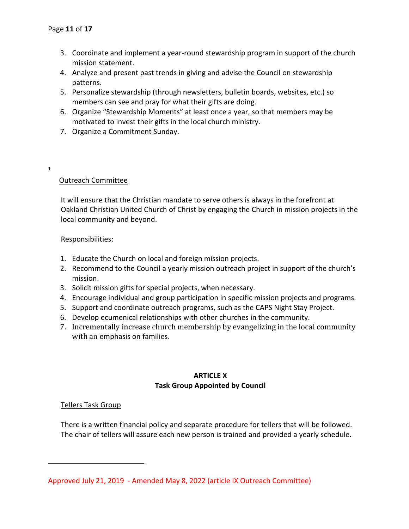- 3. Coordinate and implement a year-round stewardship program in support of the church mission statement.
- 4. Analyze and present past trends in giving and advise the Council on stewardship patterns.
- 5. Personalize stewardship (through newsletters, bulletin boards, websites, etc.) so members can see and pray for what their gifts are doing.
- 6. Organize "Stewardship Moments" at least once a year, so that members may be motivated to invest their gifts in the local church ministry.
- 7. Organize a Commitment Sunday.
- 1

# Outreach Committee

 It will ensure that the Christian mandate to serve others is always in the forefront at Oakland Christian United Church of Christ by engaging the Church in mission projects in the local community and beyond.

## Responsibilities:

- 1. Educate the Church on local and foreign mission projects.
- 2. Recommend to the Council a yearly mission outreach project in support of the church's mission.
- 3. Solicit mission gifts for special projects, when necessary.
- 4. Encourage individual and group participation in specific mission projects and programs.
- 5. Support and coordinate outreach programs, such as the CAPS Night Stay Project.
- 6. Develop ecumenical relationships with other churches in the community.
- 7. Incrementally increase church membership by evangelizing in the local community with an emphasis on families.

# **ARTICLE X Task Group Appointed by Council**

# Tellers Task Group

 There is a written financial policy and separate procedure for tellers that will be followed. The chair of tellers will assure each new person is trained and provided a yearly schedule.

Approved July 21, 2019 - Amended May 8, 2022 (article IX Outreach Committee)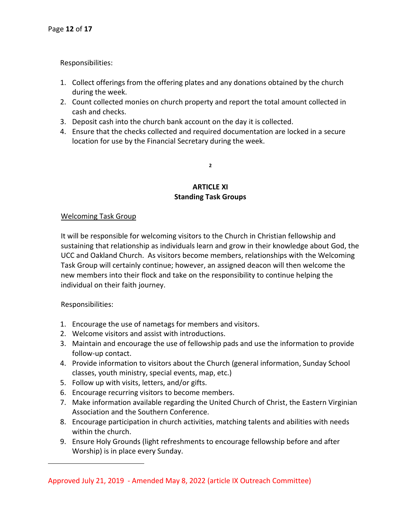Responsibilities:

- 1. Collect offerings from the offering plates and any donations obtained by the church during the week.
- 2. Count collected monies on church property and report the total amount collected in cash and checks.
- 3. Deposit cash into the church bank account on the day it is collected.
- 4. Ensure that the checks collected and required documentation are locked in a secure location for use by the Financial Secretary during the week.

**2**

# **ARTICLE XI Standing Task Groups**

# Welcoming Task Group

 It will be responsible for welcoming visitors to the Church in Christian fellowship and sustaining that relationship as individuals learn and grow in their knowledge about God, the UCC and Oakland Church. As visitors become members, relationships with the Welcoming Task Group will certainly continue; however, an assigned deacon will then welcome the new members into their flock and take on the responsibility to continue helping the individual on their faith journey.

# Responsibilities:

- 1. Encourage the use of nametags for members and visitors.
- 2. Welcome visitors and assist with introductions.
- 3. Maintain and encourage the use of fellowship pads and use the information to provide follow-up contact.
- 4. Provide information to visitors about the Church (general information, Sunday School classes, youth ministry, special events, map, etc.)
- 5. Follow up with visits, letters, and/or gifts.
- 6. Encourage recurring visitors to become members.
- 7. Make information available regarding the United Church of Christ, the Eastern Virginian Association and the Southern Conference.
- 8. Encourage participation in church activities, matching talents and abilities with needs within the church.
- 9. Ensure Holy Grounds (light refreshments to encourage fellowship before and after Worship) is in place every Sunday.

Approved July 21, 2019 - Amended May 8, 2022 (article IX Outreach Committee)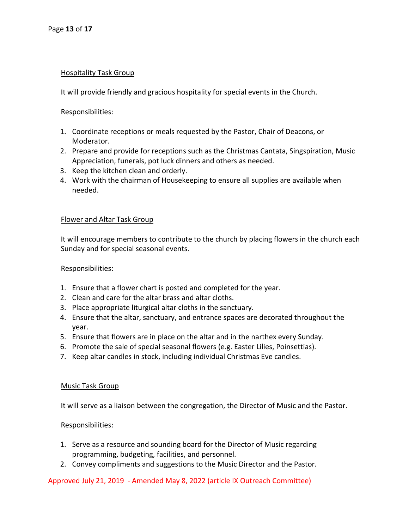### Hospitality Task Group

It will provide friendly and gracious hospitality for special events in the Church.

Responsibilities:

- 1. Coordinate receptions or meals requested by the Pastor, Chair of Deacons, or Moderator.
- 2. Prepare and provide for receptions such as the Christmas Cantata, Singspiration, Music Appreciation, funerals, pot luck dinners and others as needed.
- 3. Keep the kitchen clean and orderly.
- 4. Work with the chairman of Housekeeping to ensure all supplies are available when needed.

#### Flower and Altar Task Group

 It will encourage members to contribute to the church by placing flowers in the church each Sunday and for special seasonal events.

Responsibilities:

- 1. Ensure that a flower chart is posted and completed for the year.
- 2. Clean and care for the altar brass and altar cloths.
- 3. Place appropriate liturgical altar cloths in the sanctuary.
- 4. Ensure that the altar, sanctuary, and entrance spaces are decorated throughout the year.
- 5. Ensure that flowers are in place on the altar and in the narthex every Sunday.
- 6. Promote the sale of special seasonal flowers (e.g. Easter Lilies, Poinsettias).
- 7. Keep altar candles in stock, including individual Christmas Eve candles.

#### Music Task Group

It will serve as a liaison between the congregation, the Director of Music and the Pastor.

Responsibilities:

- 1. Serve as a resource and sounding board for the Director of Music regarding programming, budgeting, facilities, and personnel.
- 2. Convey compliments and suggestions to the Music Director and the Pastor.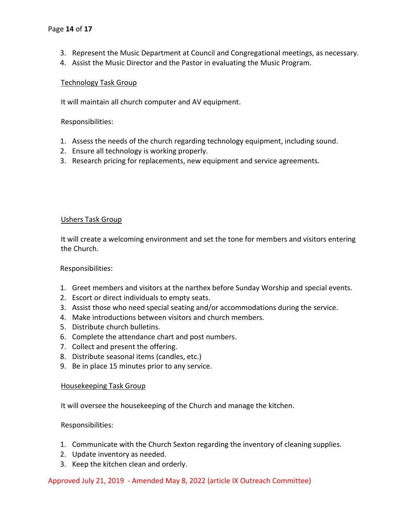- 3. Represent the Music Department at Council and Congregational meetings, as necessary.
- 4. Assist the Music Director and the Pastor in evaluating the Music Program.

## Technology Task Group

It will maintain all church computer and AV equipment.

Responsibilities:

- 1. Assess the needs of the church regarding technology equipment, including sound.
- 2. Ensure all technology is working properly.
- 3. Research pricing for replacements, new equipment and service agreements.

### Ushers Task Group

 It will create a welcoming environment and set the tone for members and visitors entering the Church.

Responsibilities:

- 1. Greet members and visitors at the narthex before Sunday Worship and special events.
- 2. Escort or direct individuals to empty seats.
- 3. Assist those who need special seating and/or accommodations during the service.
- 4. Make introductions between visitors and church members.
- 5. Distribute church bulletins.
- 6. Complete the attendance chart and post numbers.
- 7. Collect and present the offering.
- 8. Distribute seasonal items (candles, etc.)
- 9. Be in place 15 minutes prior to any service.

### Housekeeping Task Group

It will oversee the housekeeping of the Church and manage the kitchen.

Responsibilities:

- 1. Communicate with the Church Sexton regarding the inventory of cleaning supplies.
- 2. Update inventory as needed.
- 3. Keep the kitchen clean and orderly.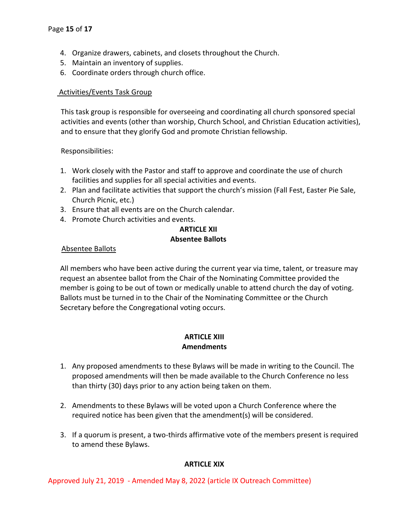- 4. Organize drawers, cabinets, and closets throughout the Church.
- 5. Maintain an inventory of supplies.
- 6. Coordinate orders through church office.

## Activities/Events Task Group

 This task group is responsible for overseeing and coordinating all church sponsored special activities and events (other than worship, Church School, and Christian Education activities), and to ensure that they glorify God and promote Christian fellowship.

### Responsibilities:

- 1. Work closely with the Pastor and staff to approve and coordinate the use of church facilities and supplies for all special activities and events.
- 2. Plan and facilitate activities that support the church's mission (Fall Fest, Easter Pie Sale, Church Picnic, etc.)
- 3. Ensure that all events are on the Church calendar.
- 4. Promote Church activities and events.

# **ARTICLE XII Absentee Ballots**

### Absentee Ballots

All members who have been active during the current year via time, talent, or treasure may request an absentee ballot from the Chair of the Nominating Committee provided the member is going to be out of town or medically unable to attend church the day of voting. Ballots must be turned in to the Chair of the Nominating Committee or the Church Secretary before the Congregational voting occurs.

### **ARTICLE XIII Amendments**

- 1. Any proposed amendments to these Bylaws will be made in writing to the Council. The proposed amendments will then be made available to the Church Conference no less than thirty (30) days prior to any action being taken on them.
- 2. Amendments to these Bylaws will be voted upon a Church Conference where the required notice has been given that the amendment(s) will be considered.
- 3. If a quorum is present, a two-thirds affirmative vote of the members present is required to amend these Bylaws.

# **ARTICLE XIX**